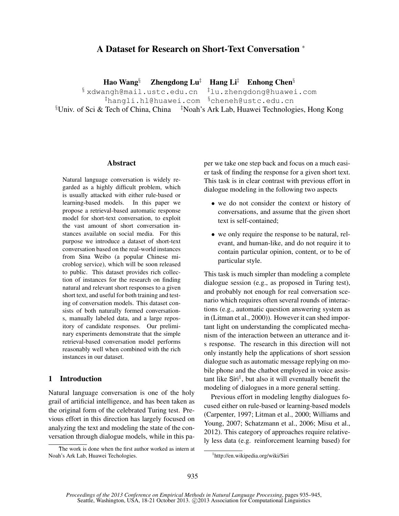# A Dataset for Research on Short-Text Conversation <sup>∗</sup>

Hao Wang§ Zhengdong Lu<sup>‡</sup> Hang Li<sup>‡</sup> Enhong Chen<sup>§</sup>

 $\frac{1}{3}$  xdwangh@mail.ustc.edu.cn  $\frac{1}{4}$ lu.zhengdong@huawei.com  $^{\ddagger}$ hangli.hl@huawei.com  $^{\$}$ cheneh@ustc.edu.cn  $\S$ Univ. of Sci & Tech of China, China  $\frac{1}{2}$ Noah's Ark Lab, Huawei Technologies, Hong Kong

#### Abstract

Natural language conversation is widely regarded as a highly difficult problem, which is usually attacked with either rule-based or learning-based models. In this paper we propose a retrieval-based automatic response model for short-text conversation, to exploit the vast amount of short conversation instances available on social media. For this purpose we introduce a dataset of short-text conversation based on the real-world instances from Sina Weibo (a popular Chinese microblog service), which will be soon released to public. This dataset provides rich collection of instances for the research on finding natural and relevant short responses to a given short text, and useful for both training and testing of conversation models. This dataset consists of both naturally formed conversations, manually labeled data, and a large repository of candidate responses. Our preliminary experiments demonstrate that the simple retrieval-based conversation model performs reasonably well when combined with the rich instances in our dataset.

#### 1 Introduction

Natural language conversation is one of the holy grail of artificial intelligence, and has been taken as the original form of the celebrated Turing test. Previous effort in this direction has largely focused on analyzing the text and modeling the state of the conversation through dialogue models, while in this pa-

The work is done when the first author worked as intern at Noah's Ark Lab, Huawei Techologies.

per we take one step back and focus on a much easier task of finding the response for a given short text. This task is in clear contrast with previous effort in dialogue modeling in the following two aspects

- we do not consider the context or history of conversations, and assume that the given short text is self-contained;
- we only require the response to be natural, relevant, and human-like, and do not require it to contain particular opinion, content, or to be of particular style.

This task is much simpler than modeling a complete dialogue session (e.g., as proposed in Turing test), and probably not enough for real conversation scenario which requires often several rounds of interactions (e.g., automatic question answering system as in (Litman et al., 2000)). However it can shed important light on understanding the complicated mechanism of the interaction between an utterance and its response. The research in this direction will not only instantly help the applications of short session dialogue such as automatic message replying on mobile phone and the chatbot employed in voice assistant like  $\text{Siri}^1$ , but also it will eventually benefit the modeling of dialogues in a more general setting.

Previous effort in modeling lengthy dialogues focused either on rule-based or learning-based models (Carpenter, 1997; Litman et al., 2000; Williams and Young, 2007; Schatzmann et al., 2006; Misu et al., 2012). This category of approaches require relatively less data (e.g. reinforcement learning based) for

<sup>1</sup> http://en.wikipedia.org/wiki/Siri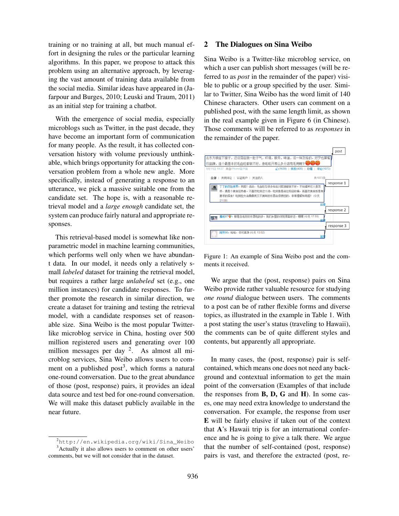training or no training at all, but much manual effort in designing the rules or the particular learning algorithms. In this paper, we propose to attack this problem using an alternative approach, by leveraging the vast amount of training data available from the social media. Similar ideas have appeared in (Jafarpour and Burges, 2010; Leuski and Traum, 2011) as an initial step for training a chatbot.

With the emergence of social media, especially microblogs such as Twitter, in the past decade, they have become an important form of communication for many people. As the result, it has collected conversation history with volume previously unthinkable, which brings opportunity for attacking the conversation problem from a whole new angle. More specifically, instead of generating a response to an utterance, we pick a massive suitable one from the candidate set. The hope is, with a reasonable retrieval model and a *large enough* candidate set, the system can produce fairly natural and appropriate responses.

This retrieval-based model is somewhat like nonparametric model in machine learning communities, which performs well only when we have abundant data. In our model, it needs only a relatively small *labeled* dataset for training the retrieval model, but requires a rather large *unlabeled* set (e.g., one million instances) for candidate responses. To further promote the research in similar direction, we create a dataset for training and testing the retrieval model, with a candidate responses set of reasonable size. Sina Weibo is the most popular Twitterlike microblog service in China, hosting over 500 million registered users and generating over 100 million messages per day <sup>2</sup>. As almost all microblog services, Sina Weibo allows users to comment on a published post<sup>3</sup>, which forms a natural one-round conversation. Due to the great abundance of those (post, response) pairs, it provides an ideal data source and test bed for one-round conversation. We will make this dataset publicly available in the near future.

#### 2 The Dialogues on Sina Weibo

Sina Weibo is a Twitter-like microblog service, on which a user can publish short messages (will be referred to as *post* in the remainder of the paper) visible to public or a group specified by the user. Similar to Twitter, Sina Weibo has the word limit of 140 Chinese characters. Other users can comment on a published post, with the same length limit, as shown in the real example given in Figure 6 (in Chinese). Those comments will be referred to as *responses* in the remainder of the paper.



Figure 1: An example of Sina Weibo post and the comments it received.

We argue that the (post, response) pairs on Sina Weibo provide rather valuable resource for studying *one round* dialogue between users. The comments to a post can be of rather flexible forms and diverse topics, as illustrated in the example in Table 1. With a post stating the user's status (traveling to Hawaii), the comments can be of quite different styles and contents, but apparently all appropriate.

In many cases, the (post, response) pair is selfcontained, which means one does not need any background and contextual information to get the main point of the conversation (Examples of that include the responses from  $B$ ,  $D$ ,  $G$  and  $H$ ). In some cases, one may need extra knowledge to understand the conversation. For example, the response from user E will be fairly elusive if taken out of the context that A's Hawaii trip is for an international conference and he is going to give a talk there. We argue that the number of self-contained (post, response) pairs is vast, and therefore the extracted (post, re-

<sup>2</sup>http://en.wikipedia.org/wiki/Sina\_Weibo <sup>3</sup>Actually it also allows users to comment on other users' comments, but we will not consider that in the dataset.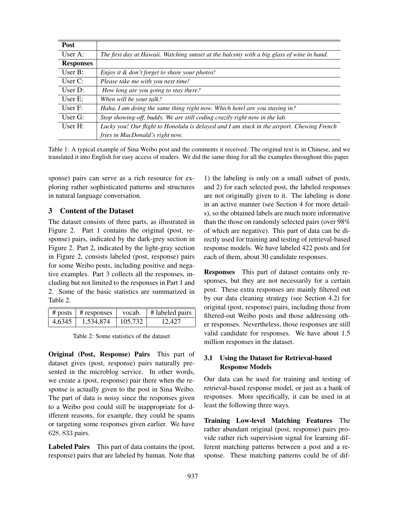| <b>Post</b>      |                                                                                            |
|------------------|--------------------------------------------------------------------------------------------|
| User A:          | The first day at Hawaii. Watching sunset at the balcony with a big glass of wine in hand.  |
| <b>Responses</b> |                                                                                            |
| User $B$ :       | Enjoy it & don't forget to share your photos!                                              |
| User $C$ :       | Please take me with you next time!                                                         |
| User $D$ :       | How long are you going to stay there?                                                      |
| User $E$ :       | When will be your talk?                                                                    |
| User $F$ :       | Haha, I am doing the same thing right now. Which hotel are you staying in?                 |
| User $G$ :       | Stop showing-off, buddy. We are still coding crazily right now in the lab.                 |
| User $H$ :       | Lucky you! Our flight to Honolulu is delayed and I am stuck in the airport. Chewing French |
|                  | fries in MacDonald's right now.                                                            |

Table 1: A typical example of Sina Weibo post and the comments it received. The original text is in Chinese, and we translated it into English for easy access of readers. We did the same thing for all the examples throughout this paper.

sponse) pairs can serve as a rich resource for exploring rather sophisticated patterns and structures in natural language conversation.

## 3 Content of the Dataset

The dataset consists of three parts, as illustrated in Figure 2. Part 1 contains the original (post, response) pairs, indicated by the dark-grey section in Figure 2. Part 2, indicated by the light-gray section in Figure 2, consists labeled (post, response) pairs for some Weibo posts, including positive and negative examples. Part 3 collects all the responses, including but not limited to the responses in Part 1 and 2. Some of the basic statistics are summarized in Table 2.

|        | $\#$ posts $\#$ responses | vocab.  | $\parallel$ # labeled pairs |
|--------|---------------------------|---------|-----------------------------|
| 4.6345 | 1,534,874                 | 105,732 | 12.427                      |

Table 2: Some statistics of the dataset

Original (Post, Response) Pairs This part of dataset gives (post, response) pairs naturally presented in the microblog service. In other words, we create a (post, response) pair there when the response is actually given to the post in Sina Weibo. The part of data is noisy since the responses given to a Weibo post could still be inappropriate for different reasons, for example, they could be spams or targeting some responses given earlier. We have 628, 833 pairs.

Labeled Pairs This part of data contains the (post, response) pairs that are labeled by human. Note that

1) the labeling is only on a small subset of posts, and 2) for each selected post, the labeled responses are not originally given to it. The labeling is done in an active manner (see Section 4 for more details), so the obtained labels are much more informative than the those on randomly selected pairs (over 98% of which are negative). This part of data can be directly used for training and testing of retrieval-based response models. We have labeled 422 posts and for each of them, about 30 candidate responses.

Responses This part of dataset contains only responses, but they are not necessarily for a certain post. These extra responses are mainly filtered out by our data cleaning strategy (see Section 4.2) for original (post, response) pairs, including those from filtered-out Weibo posts and those addressing other responses. Nevertheless, those responses are still valid candidate for responses. We have about 1.5 million responses in the dataset.

## 3.1 Using the Dataset for Retrieval-based Response Models

Our data can be used for training and testing of retrieval-based response model, or just as a bank of responses. More specifically, it can be used in at least the following three ways.

Training Low-level Matching Features The rather abundant original (post, response) pairs provide rather rich supervision signal for learning different matching patterns between a post and a response. These matching patterns could be of dif-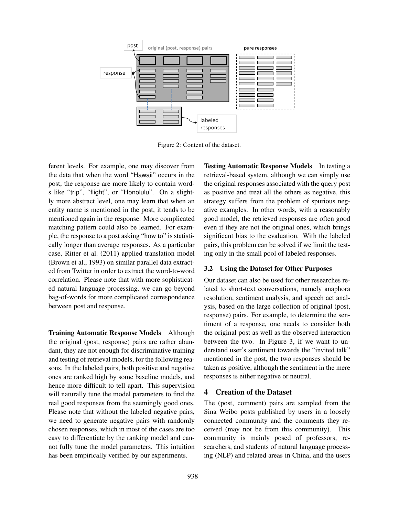

Figure 2: Content of the dataset.

ferent levels. For example, one may discover from the data that when the word "Hawaii" occurs in the post, the response are more likely to contain words like "trip", "flight", or "Honolulu". On a slightly more abstract level, one may learn that when an entity name is mentioned in the post, it tends to be mentioned again in the response. More complicated matching pattern could also be learned. For example, the response to a post asking "how to" is statistically longer than average responses. As a particular case, Ritter et al. (2011) applied translation model (Brown et al., 1993) on similar parallel data extracted from Twitter in order to extract the word-to-word correlation. Please note that with more sophisticated natural language processing, we can go beyond bag-of-words for more complicated correspondence between post and response.

Training Automatic Response Models Although the original (post, response) pairs are rather abundant, they are not enough for discriminative training and testing of retrieval models, for the following reasons. In the labeled pairs, both positive and negative ones are ranked high by some baseline models, and hence more difficult to tell apart. This supervision will naturally tune the model parameters to find the real good responses from the seemingly good ones. Please note that without the labeled negative pairs, we need to generate negative pairs with randomly chosen responses, which in most of the cases are too easy to differentiate by the ranking model and cannot fully tune the model parameters. This intuition has been empirically verified by our experiments.

Testing Automatic Response Models In testing a retrieval-based system, although we can simply use the original responses associated with the query post as positive and treat all the others as negative, this strategy suffers from the problem of spurious negative examples. In other words, with a reasonably good model, the retrieved responses are often good even if they are not the original ones, which brings significant bias to the evaluation. With the labeled pairs, this problem can be solved if we limit the testing only in the small pool of labeled responses.

## 3.2 Using the Dataset for Other Purposes

Our dataset can also be used for other researches related to short-text conversations, namely anaphora resolution, sentiment analysis, and speech act analysis, based on the large collection of original (post, response) pairs. For example, to determine the sentiment of a response, one needs to consider both the original post as well as the observed interaction between the two. In Figure 3, if we want to understand user's sentiment towards the "invited talk" mentioned in the post, the two responses should be taken as positive, although the sentiment in the mere responses is either negative or neutral.

## 4 Creation of the Dataset

The (post, comment) pairs are sampled from the Sina Weibo posts published by users in a loosely connected community and the comments they received (may not be from this community). This community is mainly posed of professors, researchers, and students of natural language processing (NLP) and related areas in China, and the users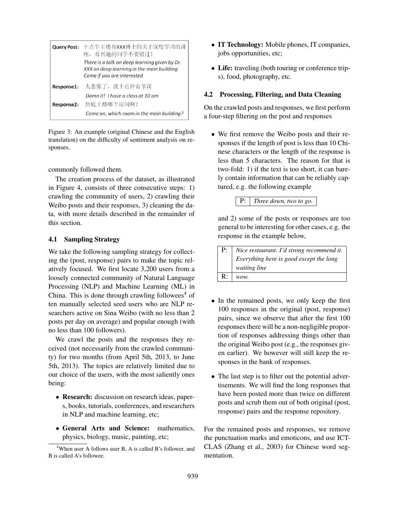|            | Query Post: 十点半主楼有XXX博士的关于深度学习的讲<br>座,有兴趣的同学不要错过!<br>There is a talk on deep learning given by Dr.<br>XXX on deep learning in the main building.<br>Come if you are interested |
|------------|--------------------------------------------------------------------------------------------------------------------------------------------------------------------------------|
| Response1: | 太悲催了,我十点钟有节课                                                                                                                                                                   |
|            | Damn it! I have a class at 10 am                                                                                                                                               |
| Response2: | 到底主楼哪个房间啊?                                                                                                                                                                     |
|            | Come on, which room in the main building?                                                                                                                                      |

Figure 3: An example (original Chinese and the English translation) on the difficulty of sentiment analysis on responses.

commonly followed them.

The creation process of the dataset, as illustrated in Figure 4, consists of three consecutive steps: 1) crawling the community of users, 2) crawling their Weibo posts and their responses, 3) cleaning the data, with more details described in the remainder of this section.

#### 4.1 Sampling Strategy

We take the following sampling strategy for collecting the (post, response) pairs to make the topic relatively focused. We first locate 3,200 users from a loosely connected community of Natural Language Processing (NLP) and Machine Learning (ML) in China. This is done through crawling followees<sup>4</sup> of ten manually selected seed users who are NLP researchers active on Sina Weibo (with no less than 2 posts per day on average) and popular enough (with no less than 100 followers).

We crawl the posts and the responses they received (not necessarily from the crawled community) for two months (from April 5th, 2013, to June 5th, 2013). The topics are relatively limited due to our choice of the users, with the most saliently ones being:

- Research: discussion on research ideas, papers, books, tutorials, conferences, and researchers in NLP and machine learning, etc;
- General Arts and Science: mathematics, physics, biology, music, painting, etc;
- IT Technology: Mobile phones, IT companies, jobs opportunities, etc;
- Life: traveling (both touring or conference trips), food, photography, etc.

#### 4.2 Processing, Filtering, and Data Cleaning

On the crawled posts and responses, we first perform a four-step filtering on the post and responses

• We first remove the Weibo posts and their responses if the length of post is less than 10 Chinese characters or the length of the response is less than 5 characters. The reason for that is two-fold: 1) if the text is too short, it can barely contain information that can be reliably captured, e.g. the following example

P: *Three down, two to go.*

and 2) some of the posts or responses are too general to be interesting for other cases, e.g. the response in the example below,

| $P: \;  $ Nice restaurant. I'd strong recommend it. |
|-----------------------------------------------------|
| $\vert$ Everything here is good except the long     |
| $\vert$ waiting line                                |
| $\mathbf{R}$ :   wow.                               |

- In the remained posts, we only keep the first 100 responses in the original (post, response) pairs, since we observe that after the first 100 responses there will be a non-negligible proportion of responses addressing things other than the original Weibo post (e.g., the responses given earlier). We however will still keep the responses in the bank of responses.
- The last step is to filter out the potential advertisements. We will find the long responses that have been posted more than twice on different posts and scrub them out of both original (post, response) pairs and the response repository.

For the remained posts and responses, we remove the punctuation marks and emoticons, and use ICT-CLAS (Zhang et al., 2003) for Chinese word segmentation.

<sup>4</sup>When user A follows user B, A is called B's follower, and B is called A's followee.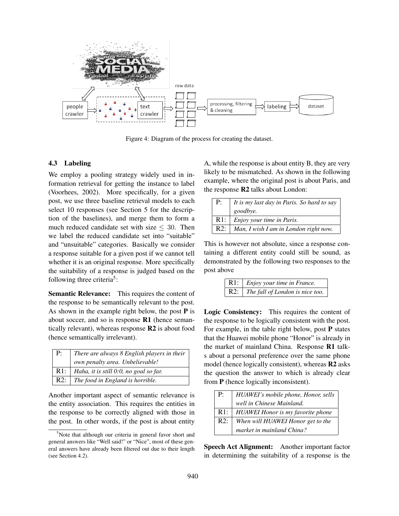

Figure 4: Diagram of the process for creating the dataset.

#### 4.3 Labeling

We employ a pooling strategy widely used in information retrieval for getting the instance to label (Voorhees, 2002). More specifically, for a given post, we use three baseline retrieval models to each select 10 responses (see Section 5 for the description of the baselines), and merge them to form a much reduced candidate set with size  $\leq 30$ . Then we label the reduced candidate set into "suitable" and "unsuitable" categories. Basically we consider a response suitable for a given post if we cannot tell whether it is an original response. More specifically the suitability of a response is judged based on the following three criteria<sup>5</sup>:

Semantic Relevance: This requires the content of the response to be semantically relevant to the post. As shown in the example right below, the post  $P$  is about soccer, and so is response R1 (hence semantically relevant), whereas response R2 is about food (hence semantically irrelevant).

| P: | There are always 8 English players in their  |
|----|----------------------------------------------|
|    | own penalty area. Unbelievable!              |
|    | R1:   Haha, it is still 0:0, no goal so far. |
|    | $R2:   The food in England is horrible.$     |

Another important aspect of semantic relevance is the entity association. This requires the entities in the response to be correctly aligned with those in the post. In other words, if the post is about entity

A, while the response is about entity B, they are very likely to be mismatched. As shown in the following example, where the original post is about Paris, and the response R2 talks about London:

| $P$ : | It is my last day in Paris. So hard to say |
|-------|--------------------------------------------|
|       | goodbye.                                   |
| R1:   | Enjoy your time in Paris.                  |
| R2:   | Man, I wish I am in London right now.      |

This is however not absolute, since a response containing a different entity could still be sound, as demonstrated by the following two responses to the post above

| $R1:$ <i>Enjoy your time in France.</i> |
|-----------------------------------------|
| R2:   The fall of London is nice too.   |

Logic Consistency: This requires the content of the response to be logically consistent with the post. For example, in the table right below, post P states that the Huawei mobile phone "Honor" is already in the market of mainland China. Response R1 talks about a personal preference over the same phone model (hence logically consistent), whereas R2 asks the question the answer to which is already clear from P (hence logically inconsistent).

| P:  | HUAWEI's mobile phone, Honor, sells |
|-----|-------------------------------------|
|     | well in Chinese Mainland.           |
| R1: | HUAWEI Honor is my favorite phone   |
| R2: | When will HUAWEI Honor get to the   |
|     | market in mainland China?           |

Speech Act Alignment: Another important factor in determining the suitability of a response is the

<sup>&</sup>lt;sup>5</sup>Note that although our criteria in general favor short and general answers like "Well said!" or "Nice", most of these general answers have already been filtered out due to their length (see Section 4.2).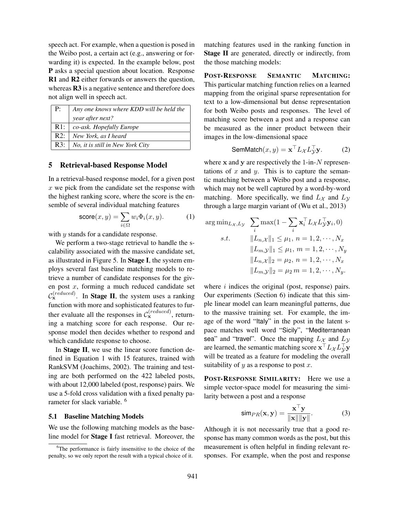speech act. For example, when a question is posed in the Weibo post, a certain act (e.g., answering or forwarding it) is expected. In the example below, post P asks a special question about location. Response R1 and R2 either forwards or answers the question, whereas **R3** is a negative sentence and therefore does not align well in speech act.

| P <sub>1</sub> | Any one knows where KDD will be held the |
|----------------|------------------------------------------|
|                | year after next?                         |
| R1:            | co-ask. Hopefully Europe                 |
| R2:            | New York, as I heard                     |
| R3:1           | No, it is still in New York City         |

#### 5 Retrieval-based Response Model

In a retrieval-based response model, for a given post  $x$  we pick from the candidate set the response with the highest ranking score, where the score is the ensemble of several individual matching features

$$
\text{score}(x, y) = \sum_{i \in \Omega} w_i \Phi_i(x, y). \tag{1}
$$

with *y* stands for a candidate response.

We perform a two-stage retrieval to handle the scalability associated with the massive candidate set, as illustrated in Figure 5. In Stage I, the system employs several fast baseline matching models to retrieve a number of candidate responses for the given post x, forming a much reduced candidate set  $\mathcal{C}_{\mathbf{x}}^{(reduced)}$ . In **Stage II**, the system uses a ranking function with more and sophisticated features to further evaluate all the responses in  $C_{\mathbf{x}}^{(reduced)}$ , returning a matching score for each response. Our response model then decides whether to respond and which candidate response to choose.

In Stage II, we use the linear score function defined in Equation 1 with 15 features, trained with RankSVM (Joachims, 2002). The training and testing are both performed on the 422 labeled posts, with about 12,000 labeled (post, response) pairs. We use a 5-fold cross validation with a fixed penalty parameter for slack variable. <sup>6</sup>

#### 5.1 Baseline Matching Models

We use the following matching models as the baseline model for Stage I fast retrieval. Moreover, the matching features used in the ranking function in Stage II are generated, directly or indirectly, from the those matching models:

POST-RESPONSE SEMANTIC MATCHING: This particular matching function relies on a learned mapping from the original sparse representation for text to a low-dimensional but dense representation for both Weibo posts and responses. The level of matching score between a post and a response can be measured as the inner product between their images in the low-dimensional space

$$
SemMatch(x, y) = \mathbf{x}^\top L_{\mathcal{X}} L_{\mathcal{Y}}^\top \mathbf{y}.
$$
 (2)

where  $x$  and  $y$  are respectively the 1-in- $N$  representations of  $x$  and  $y$ . This is to capture the semantic matching between a Weibo post and a response, which may not be well captured by a word-by-word matching. More specifically, we find  $L<sub>X</sub>$  and  $L<sub>Y</sub>$ through a large margin variant of (Wu et al., 2013)

$$
\arg \min_{L_{\mathcal{X}}, L_{\mathcal{Y}}} \sum_{i} \max(1 - \sum_{i} \mathbf{x}_{i}^{\top} L_{\mathcal{X}} L_{\mathcal{Y}}^{\top} \mathbf{y}_{i}, 0)
$$
  
s.t. 
$$
\|L_{n, \mathcal{X}}\|_{1} \leq \mu_{1}, n = 1, 2, \cdots, N_{x}
$$

$$
\|L_{m, \mathcal{Y}}\|_{1} \leq \mu_{1}, m = 1, 2, \cdots, N_{y}
$$

$$
\|L_{n, \mathcal{X}}\|_{2} = \mu_{2}, n = 1, 2, \cdots, N_{x}
$$

$$
\|L_{m, \mathcal{Y}}\|_{2} = \mu_{2} m = 1, 2, \cdots, N_{y}.
$$

where  $i$  indices the original (post, response) pairs. Our experiments (Section 6) indicate that this simple linear model can learn meaningful patterns, due to the massive training set. For example, the image of the word "Italy" in the post in the latent space matches well word "Sicily", "Mediterranean sea" and "travel". Once the mapping  $L_X$  and  $L_Y$ are learned, the semantic matching score  $\mathbf{x}^\top L_\mathcal{X} L_\mathcal{Y}^\top \mathbf{y}$ will be treated as a feature for modeling the overall suitability of  $y$  as a response to post  $x$ .

POST-RESPONSE SIMILARITY: Here we use a simple vector-space model for measuring the similarity between a post and a response

$$
\text{sim}_{PR}(\mathbf{x}, \mathbf{y}) = \frac{\mathbf{x}^{\top} \mathbf{y}}{\|\mathbf{x}\| \|\mathbf{y}\|}.
$$
 (3)

Although it is not necessarily true that a good response has many common words as the post, but this measurement is often helpful in finding relevant responses. For example, when the post and response

<sup>&</sup>lt;sup>6</sup>The performance is fairly insensitive to the choice of the penalty, so we only report the result with a typical choice of it.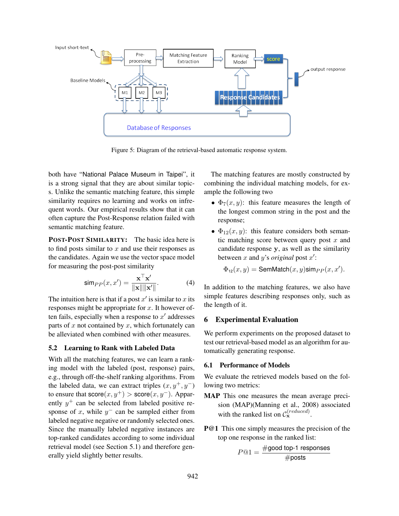

Figure 5: Diagram of the retrieval-based automatic response system.

both have "National Palace Museum in Taipei", it is a strong signal that they are about similar topics. Unlike the semantic matching feature, this simple similarity requires no learning and works on infrequent words. Our empirical results show that it can often capture the Post-Response relation failed with semantic matching feature.

POST-POST SIMILARITY: The basic idea here is to find posts similar to  $x$  and use their responses as the candidates. Again we use the vector space model for measuring the post-post similarity

$$
\operatorname{sim}_{PP}(x, x') = \frac{\mathbf{x}^{\top} \mathbf{x}'}{\|\mathbf{x}\| \|\mathbf{x}'\|}.
$$
 (4)

The intuition here is that if a post  $x'$  is similar to x its responses might be appropriate for  $x$ . It however often fails, especially when a response to  $x'$  addresses parts of  $x$  not contained by  $x$ , which fortunately can be alleviated when combined with other measures.

## 5.2 Learning to Rank with Labeled Data

With all the matching features, we can learn a ranking model with the labeled (post, response) pairs, e.g., through off-the-shelf ranking algorithms. From the labeled data, we can extract triples  $(x, y^+, y^-)$ to ensure that  $score(x, y^+) > score(x, y^-)$ . Apparently  $y^+$  can be selected from labeled positive response of x, while  $y^{-}$  can be sampled either from labeled negative negative or randomly selected ones. Since the manually labeled negative instances are top-ranked candidates according to some individual retrieval model (see Section 5.1) and therefore generally yield slightly better results.

The matching features are mostly constructed by combining the individual matching models, for example the following two

- $\Phi_7(x, y)$ : this feature measures the length of the longest common string in the post and the response;
- $\Phi_{12}(x, y)$ : this feature considers both semantic matching score between query post  $x$  and candidate response y, as well as the similarity between x and y's *original* post  $x'$ :

 $\Phi_{12}(x,y) = \text{SemMatch}(x,y)\text{sim}_{PP}(x,x').$ 

In addition to the matching features, we also have simple features describing responses only, such as the length of it.

## 6 Experimental Evaluation

We perform experiments on the proposed dataset to test our retrieval-based model as an algorithm for automatically generating response.

## 6.1 Performance of Models

We evaluate the retrieved models based on the following two metrics:

- MAP This one measures the mean average precision (MAP)(Manning et al., 2008) associated with the ranked list on  $C_{\mathbf{x}}^{(reduced)}$ .
- **P@1** This one simply measures the precision of the top one response in the ranked list:

$$
P@1 = \frac{\# \text{good top-1 responses}}{\# \text{posts}}
$$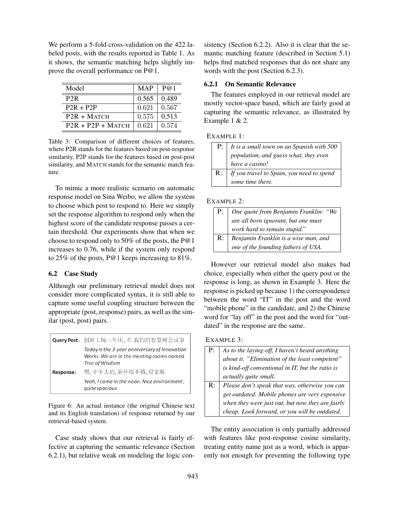We perform a 5-fold cross-validation on the 422 labeled posts, with the results reported in Table 1. As it shows, the semantic matching helps slightly improve the overall performance on P@1.

| Model               | <b>MAP</b> | P@1   |
|---------------------|------------|-------|
| P <sub>2</sub> R    | 0.565      | 0.489 |
| $P2R + P2P$         | 0.621      | 0.567 |
| $P2R + MATCH$       | 0.575      | 0.513 |
| $P2R + P2P + MATCH$ | 0.621      | 0.574 |

Table 3: Comparison of different choices of features, where P2R stands for the features based on post-response similarity, P2P stands for the features based on post-post similarity, and MATCH stands for the semantic match feature.

To mimic a more realistic scenario on automatic response model on Sina Weibo, we allow the system to choose which post to respond to. Here we simply set the response algorithm to respond only when the highest score of the candidate response passes a certain threshold. Our experiments show that when we choose to respond only to 50% of the posts, the P@1 increases to 0.76, while if the system only respond to 25% of the posts, P@1 keeps increasing to 81%.

#### 6.2 Case Study

Although our preliminary retrieval model does not consider more complicated syntax, it is still able to capture some useful coupling structure between the appropriate (post, response) pairs, as well as the similar (post, post) pairs.

|           | Query Post: 创新工场三年庆, 在我们的智慧树会议室                                                                             |
|-----------|-------------------------------------------------------------------------------------------------------------|
|           | Today is the 3-year anniversary of Innovation<br>Works. We are in the meeting rooms named<br>Tree of Wisdom |
| Response: | 嗯, 中午去的, 新环境不错, 很宽敞                                                                                         |
|           | Yeah, I came in the noon. Nice environment,<br>quite spacious                                               |

Figure 6: An actual instance (the original Chinese text and its English translation) of response returned by our retrieval-based system.

Case study shows that our retrieval is fairly effective at capturing the semantic relevance (Section 6.2.1), but relative weak on modeling the logic consistency (Section 6.2.2). Also it is clear that the semantic matching feature (described in Section 5.1) helps find matched responses that do not share any words with the post (Section 6.2.3).

#### 6.2.1 On Semantic Relevance

The features employed in our retrieval model are mostly vector-space based, which are fairly good at capturing the semantic relevance, as illustrated by Example 1 & 2.

#### EXAMPLE 1:

|    | P: $\vert$ It is a small town on an Spanish with 500 |
|----|------------------------------------------------------|
|    | population, and guess what, they even                |
|    | have a casino!                                       |
| R: | If you travel to Spain, you need to spend            |
|    | some time there.                                     |

#### EXAMPLE 2:

| P:             | One quote from Benjamin Franklin: "We |
|----------------|---------------------------------------|
|                | are all born ignorant, but one must   |
|                | work hard to remain stupid."          |
| $\mathbf{R}$ : | Benjamin Franklin is a wise man, and  |
|                | one of the founding fathers of USA.   |

However our retrieval model also makes bad choice, especially when either the query post or the response is long, as shown in Example 3. Here the response is picked up because 1) the correspondence between the word "IT" in the post and the word "mobile phone" in the candidate, and 2) the Chinese word for "lay off" in the post and the word for "outdated" in the response are the same.

#### EXAMPLE 3:

|                | As to the laying-off, I haven't heard anything   |
|----------------|--------------------------------------------------|
|                |                                                  |
|                | about it. "Elimination of the least competent"   |
|                | is kind-off conventional in IT, but the ratio is |
|                | actually quite small.                            |
| $\mathbb{R}$ : | Please don't speak that way, otherwise you can   |
|                | get outdated. Mobile phones are very expensive   |
|                | when they were just out, but now they are fairly |
|                | cheap. Look forward, or you will be outdated.    |

The entity association is only partially addressed with features like post-response cosine similarity, treating entity name just as a word, which is apparently not enough for preventing the following type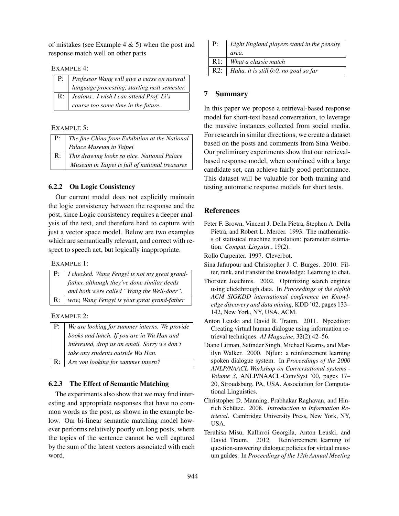of mistakes (see Example 4  $\&$  5) when the post and response match well on other parts

#### EXAMPLE 4:

| P:             | Professor Wang will give a curse on natural  |
|----------------|----------------------------------------------|
|                | language processing, starting next semester. |
| $\mathbf{R}$ : | Jealous I wish I can attend Prof. Li's       |
|                | course too some time in the future.          |

#### EXAMPLE 5:

| P:         | The fine China from Exhibition at the National |
|------------|------------------------------------------------|
|            | Palace Museum in Taipei                        |
| $R: \perp$ | This drawing looks so nice. National Palace    |
|            | Museum in Taipei is full of national treasures |

## 6.2.2 On Logic Consistency

Our current model does not explicitly maintain the logic consistency between the response and the post, since Logic consistency requires a deeper analysis of the text, and therefore hard to capture with just a vector space model. Below are two examples which are semantically relevant, and correct with respect to speech act, but logically inappropriate.

EXAMPLE 1:

|                | P:   I checked. Wang Fengyi is not my great grand-        |
|----------------|-----------------------------------------------------------|
|                | $\frac{1}{2}$ father, although they've done similar deeds |
|                | and both were called "Wang the Well-doer".                |
| $\mathbb{R}$ : | wow, Wang Fengyi is your great grand-father               |

## EXAMPLE 2:

| P:             | We are looking for summer interns. We provide |
|----------------|-----------------------------------------------|
|                | books and lunch. If you are in Wu Han and     |
|                | interested, drop us an email. Sorry we don't  |
|                | take any students outside Wu Han.             |
| $\mathbb{R}$ : | Are you looking for summer intern?            |

## 6.2.3 The Effect of Semantic Matching

The experiments also show that we may find interesting and appropriate responses that have no common words as the post, as shown in the example below. Our bi-linear semantic matching model however performs relatively poorly on long posts, where the topics of the sentence cannot be well captured by the sum of the latent vectors associated with each word.

| P:     | Eight England players stand in the penalty |
|--------|--------------------------------------------|
|        | area.                                      |
| $R1$ : | What a classic match                       |
| R2:    | Haha, it is still 0:0, no goal so far      |

## 7 Summary

In this paper we propose a retrieval-based response model for short-text based conversation, to leverage the massive instances collected from social media. For research in similar directions, we create a dataset based on the posts and comments from Sina Weibo. Our preliminary experiments show that our retrievalbased response model, when combined with a large candidate set, can achieve fairly good performance. This dataset will be valuable for both training and testing automatic response models for short texts.

## References

Peter F. Brown, Vincent J. Della Pietra, Stephen A. Della Pietra, and Robert L. Mercer. 1993. The mathematics of statistical machine translation: parameter estimation. *Comput. Linguist.*, 19(2).

Rollo Carpenter. 1997. Cleverbot.

- Sina Jafarpour and Christopher J. C. Burges. 2010. Filter, rank, and transfer the knowledge: Learning to chat.
- Thorsten Joachims. 2002. Optimizing search engines using clickthrough data. In *Proceedings of the eighth ACM SIGKDD international conference on Knowledge discovery and data mining*, KDD '02, pages 133– 142, New York, NY, USA. ACM.
- Anton Leuski and David R. Traum. 2011. Npceditor: Creating virtual human dialogue using information retrieval techniques. *AI Magazine*, 32(2):42–56.
- Diane Litman, Satinder Singh, Michael Kearns, and Marilyn Walker. 2000. Njfun: a reinforcement learning spoken dialogue system. In *Proceedings of the 2000 ANLP/NAACL Workshop on Conversational systems - Volume 3*, ANLP/NAACL-ConvSyst '00, pages 17– 20, Stroudsburg, PA, USA. Association for Computational Linguistics.
- Christopher D. Manning, Prabhakar Raghavan, and Hinrich Schütze. 2008. Introduction to Information Re*trieval*. Cambridge University Press, New York, NY, USA.
- Teruhisa Misu, Kallirroi Georgila, Anton Leuski, and David Traum. 2012. Reinforcement learning of question-answering dialogue policies for virtual museum guides. In *Proceedings of the 13th Annual Meeting*